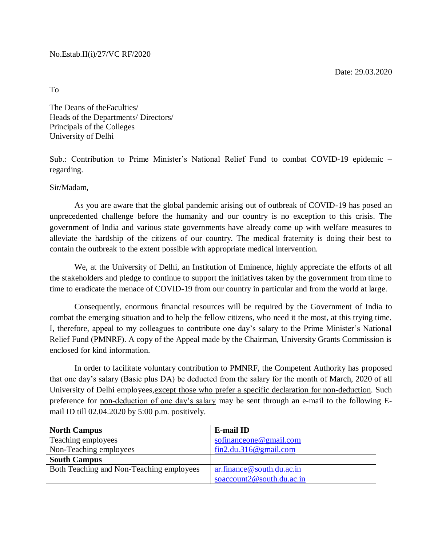Date: 29.03.2020

To

The Deans of theFaculties/ Heads of the Departments/ Directors/ Principals of the Colleges University of Delhi

Sub.: Contribution to Prime Minister's National Relief Fund to combat COVID-19 epidemic – regarding.

Sir/Madam,

As you are aware that the global pandemic arising out of outbreak of COVID-19 has posed an unprecedented challenge before the humanity and our country is no exception to this crisis. The government of India and various state governments have already come up with welfare measures to alleviate the hardship of the citizens of our country. The medical fraternity is doing their best to contain the outbreak to the extent possible with appropriate medical intervention.

We, at the University of Delhi, an Institution of Eminence, highly appreciate the efforts of all the stakeholders and pledge to continue to support the initiatives taken by the government from time to time to eradicate the menace of COVID-19 from our country in particular and from the world at large.

Consequently, enormous financial resources will be required by the Government of India to combat the emerging situation and to help the fellow citizens, who need it the most, at this trying time. I, therefore, appeal to my colleagues to contribute one day's salary to the Prime Minister's National Relief Fund (PMNRF). A copy of the Appeal made by the Chairman, University Grants Commission is enclosed for kind information.

In order to facilitate voluntary contribution to PMNRF, the Competent Authority has proposed that one day's salary (Basic plus DA) be deducted from the salary for the month of March, 2020 of all University of Delhi employees,except those who prefer a specific declaration for non-deduction. Such preference for non-deduction of one day's salary may be sent through an e-mail to the following Email ID till 02.04.2020 by 5:00 p.m. positively.

| <b>North Campus</b>                      | <b>E-mail ID</b>            |
|------------------------------------------|-----------------------------|
| Teaching employees                       | sofinance one $@$ gmail.com |
| Non-Teaching employees                   | fin2.du.316@gmail.com       |
| <b>South Campus</b>                      |                             |
| Both Teaching and Non-Teaching employees | ar.finance@south.du.ac.in   |
|                                          | soaccount2@south.du.ac.in   |